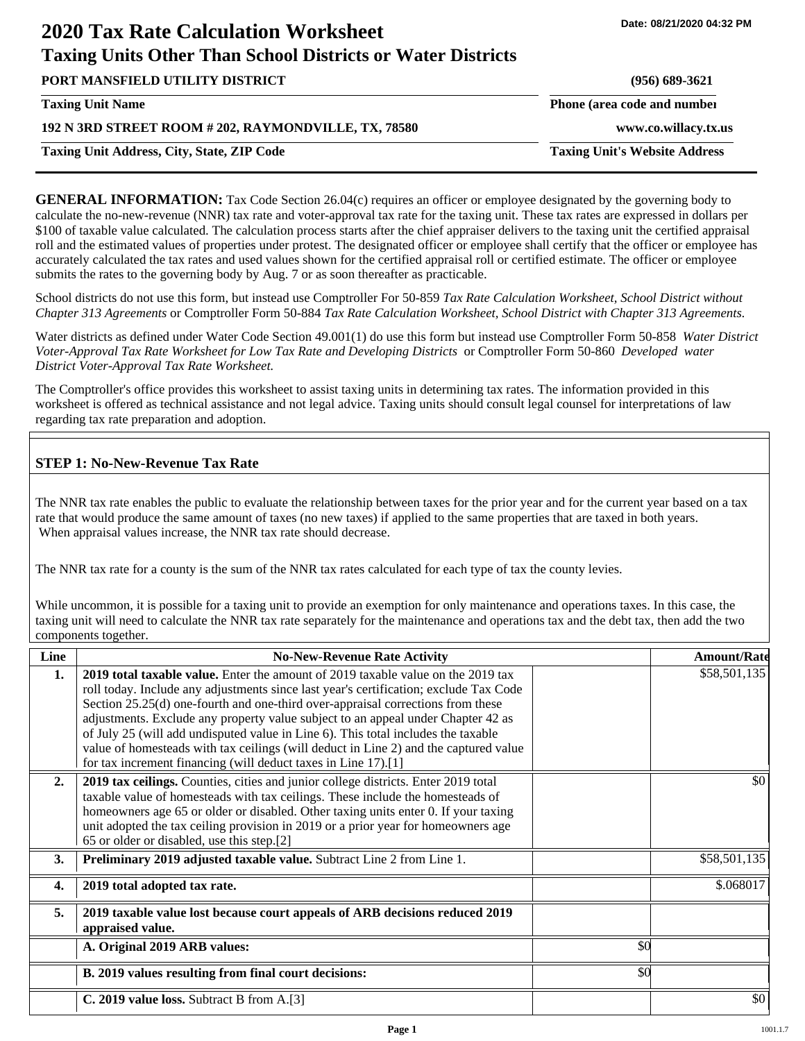# **2020 Tax Rate Calculation Worksheet Taxing Units Other Than School Districts or Water Districts**

**Date: 08/21/2020 04:32 PM**

**PORT MANSFIELD UTILITY DISTRICT (956) 689-3621 192 N 3RD STREET ROOM # 202, RAYMONDVILLE, TX, 78580 www.co.willacy.tx.us Taxing Unit Name Phone (area code and number Phone (area code and number Taxing Unit Address, City, State, ZIP Code Taxing Unit's Website Address**

**GENERAL INFORMATION:** Tax Code Section 26.04(c) requires an officer or employee designated by the governing body to calculate the no-new-revenue (NNR) tax rate and voter-approval tax rate for the taxing unit. These tax rates are expressed in dollars per \$100 of taxable value calculated. The calculation process starts after the chief appraiser delivers to the taxing unit the certified appraisal roll and the estimated values of properties under protest. The designated officer or employee shall certify that the officer or employee has accurately calculated the tax rates and used values shown for the certified appraisal roll or certified estimate. The officer or employee submits the rates to the governing body by Aug. 7 or as soon thereafter as practicable.

School districts do not use this form, but instead use Comptroller For 50-859 *Tax Rate Calculation Worksheet, School District without Chapter 313 Agreements* or Comptroller Form 50-884 *Tax Rate Calculation Worksheet, School District with Chapter 313 Agreements.*

Water districts as defined under Water Code Section 49.001(1) do use this form but instead use Comptroller Form 50-858 *Water District Voter-Approval Tax Rate Worksheet for Low Tax Rate and Developing Districts* or Comptroller Form 50-860 *Developed water District Voter-Approval Tax Rate Worksheet.*

The Comptroller's office provides this worksheet to assist taxing units in determining tax rates. The information provided in this worksheet is offered as technical assistance and not legal advice. Taxing units should consult legal counsel for interpretations of law regarding tax rate preparation and adoption.

# **STEP 1: No-New-Revenue Tax Rate**

The NNR tax rate enables the public to evaluate the relationship between taxes for the prior year and for the current year based on a tax rate that would produce the same amount of taxes (no new taxes) if applied to the same properties that are taxed in both years. When appraisal values increase, the NNR tax rate should decrease.

The NNR tax rate for a county is the sum of the NNR tax rates calculated for each type of tax the county levies.

While uncommon, it is possible for a taxing unit to provide an exemption for only maintenance and operations taxes. In this case, the taxing unit will need to calculate the NNR tax rate separately for the maintenance and operations tax and the debt tax, then add the two components together.

| Line             | <b>No-New-Revenue Rate Activity</b>                                                                                                                                                                                                                                                                                                                                                                                                                                                                                                                                                             |     | <b>Amount/Rate</b> |
|------------------|-------------------------------------------------------------------------------------------------------------------------------------------------------------------------------------------------------------------------------------------------------------------------------------------------------------------------------------------------------------------------------------------------------------------------------------------------------------------------------------------------------------------------------------------------------------------------------------------------|-----|--------------------|
| 1.               | 2019 total taxable value. Enter the amount of 2019 taxable value on the 2019 tax<br>roll today. Include any adjustments since last year's certification; exclude Tax Code<br>Section 25.25(d) one-fourth and one-third over-appraisal corrections from these<br>adjustments. Exclude any property value subject to an appeal under Chapter 42 as<br>of July 25 (will add undisputed value in Line 6). This total includes the taxable<br>value of homesteads with tax ceilings (will deduct in Line 2) and the captured value<br>for tax increment financing (will deduct taxes in Line 17).[1] |     | \$58,501,135       |
| 2.               | 2019 tax ceilings. Counties, cities and junior college districts. Enter 2019 total<br>taxable value of homesteads with tax ceilings. These include the homesteads of<br>homeowners age 65 or older or disabled. Other taxing units enter 0. If your taxing<br>unit adopted the tax ceiling provision in 2019 or a prior year for homeowners age<br>65 or older or disabled, use this step.[2]                                                                                                                                                                                                   |     | \$0                |
| 3.               | Preliminary 2019 adjusted taxable value. Subtract Line 2 from Line 1.                                                                                                                                                                                                                                                                                                                                                                                                                                                                                                                           |     | \$58,501,135       |
| $\overline{4}$ . | 2019 total adopted tax rate.                                                                                                                                                                                                                                                                                                                                                                                                                                                                                                                                                                    |     | \$.068017          |
| 5.               | 2019 taxable value lost because court appeals of ARB decisions reduced 2019<br>appraised value.                                                                                                                                                                                                                                                                                                                                                                                                                                                                                                 |     |                    |
|                  | A. Original 2019 ARB values:                                                                                                                                                                                                                                                                                                                                                                                                                                                                                                                                                                    | \$0 |                    |
|                  | B. 2019 values resulting from final court decisions:                                                                                                                                                                                                                                                                                                                                                                                                                                                                                                                                            | \$0 |                    |
|                  | C. 2019 value loss. Subtract B from A.[3]                                                                                                                                                                                                                                                                                                                                                                                                                                                                                                                                                       |     | \$0                |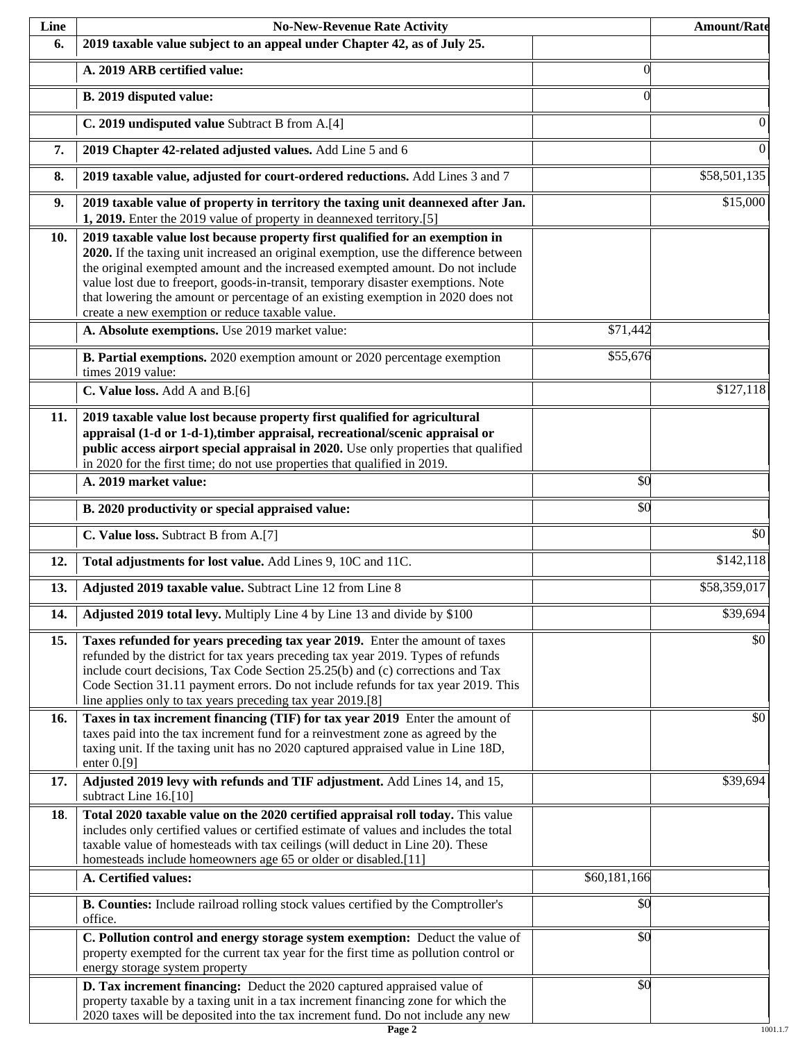| Line | <b>No-New-Revenue Rate Activity</b>                                                                                                                                                                                                                                                                                                                                                                                                                                                |              | <b>Amount/Rate</b> |
|------|------------------------------------------------------------------------------------------------------------------------------------------------------------------------------------------------------------------------------------------------------------------------------------------------------------------------------------------------------------------------------------------------------------------------------------------------------------------------------------|--------------|--------------------|
| 6.   | 2019 taxable value subject to an appeal under Chapter 42, as of July 25.                                                                                                                                                                                                                                                                                                                                                                                                           |              |                    |
|      | A. 2019 ARB certified value:                                                                                                                                                                                                                                                                                                                                                                                                                                                       | $\theta$     |                    |
|      | B. 2019 disputed value:                                                                                                                                                                                                                                                                                                                                                                                                                                                            | $\Omega$     |                    |
|      | C. 2019 undisputed value Subtract B from A.[4]                                                                                                                                                                                                                                                                                                                                                                                                                                     |              | $\mathbf{0}$       |
| 7.   | 2019 Chapter 42-related adjusted values. Add Line 5 and 6                                                                                                                                                                                                                                                                                                                                                                                                                          |              | $\overline{0}$     |
| 8.   | 2019 taxable value, adjusted for court-ordered reductions. Add Lines 3 and 7                                                                                                                                                                                                                                                                                                                                                                                                       |              | \$58,501,135       |
| 9.   | 2019 taxable value of property in territory the taxing unit deannexed after Jan.<br>1, 2019. Enter the 2019 value of property in deannexed territory.[5]                                                                                                                                                                                                                                                                                                                           |              | \$15,000           |
| 10.  | 2019 taxable value lost because property first qualified for an exemption in<br>2020. If the taxing unit increased an original exemption, use the difference between<br>the original exempted amount and the increased exempted amount. Do not include<br>value lost due to freeport, goods-in-transit, temporary disaster exemptions. Note<br>that lowering the amount or percentage of an existing exemption in 2020 does not<br>create a new exemption or reduce taxable value. |              |                    |
|      | A. Absolute exemptions. Use 2019 market value:                                                                                                                                                                                                                                                                                                                                                                                                                                     | \$71,442     |                    |
|      | B. Partial exemptions. 2020 exemption amount or 2020 percentage exemption<br>times 2019 value:                                                                                                                                                                                                                                                                                                                                                                                     | \$55,676     |                    |
|      | C. Value loss. Add A and B.[6]                                                                                                                                                                                                                                                                                                                                                                                                                                                     |              | \$127,118          |
| 11.  | 2019 taxable value lost because property first qualified for agricultural<br>appraisal (1-d or 1-d-1), timber appraisal, recreational/scenic appraisal or<br>public access airport special appraisal in 2020. Use only properties that qualified<br>in 2020 for the first time; do not use properties that qualified in 2019.                                                                                                                                                      |              |                    |
|      | A. 2019 market value:                                                                                                                                                                                                                                                                                                                                                                                                                                                              | \$0          |                    |
|      | B. 2020 productivity or special appraised value:                                                                                                                                                                                                                                                                                                                                                                                                                                   | \$0          |                    |
|      | C. Value loss. Subtract B from A.[7]                                                                                                                                                                                                                                                                                                                                                                                                                                               |              | $\overline{50}$    |
| 12.  | Total adjustments for lost value. Add Lines 9, 10C and 11C.                                                                                                                                                                                                                                                                                                                                                                                                                        |              | \$142,118          |
| 13.  | Adjusted 2019 taxable value. Subtract Line 12 from Line 8                                                                                                                                                                                                                                                                                                                                                                                                                          |              | \$58,359,017       |
| 14.  | Adjusted 2019 total levy. Multiply Line 4 by Line 13 and divide by \$100                                                                                                                                                                                                                                                                                                                                                                                                           |              | \$39,694           |
| 15.  | Taxes refunded for years preceding tax year 2019. Enter the amount of taxes<br>refunded by the district for tax years preceding tax year 2019. Types of refunds<br>include court decisions, Tax Code Section 25.25(b) and (c) corrections and Tax<br>Code Section 31.11 payment errors. Do not include refunds for tax year 2019. This<br>line applies only to tax years preceding tax year 2019.[8]                                                                               |              | \$0                |
| 16.  | Taxes in tax increment financing (TIF) for tax year 2019 Enter the amount of<br>taxes paid into the tax increment fund for a reinvestment zone as agreed by the<br>taxing unit. If the taxing unit has no 2020 captured appraised value in Line 18D,<br>enter $0.9$ ]                                                                                                                                                                                                              |              | \$0                |
| 17.  | Adjusted 2019 levy with refunds and TIF adjustment. Add Lines 14, and 15,<br>subtract Line 16.[10]                                                                                                                                                                                                                                                                                                                                                                                 |              | \$39,694           |
| 18.  | Total 2020 taxable value on the 2020 certified appraisal roll today. This value<br>includes only certified values or certified estimate of values and includes the total<br>taxable value of homesteads with tax ceilings (will deduct in Line 20). These<br>homesteads include homeowners age 65 or older or disabled.[11]                                                                                                                                                        |              |                    |
|      | A. Certified values:                                                                                                                                                                                                                                                                                                                                                                                                                                                               | \$60,181,166 |                    |
|      | B. Counties: Include railroad rolling stock values certified by the Comptroller's<br>office.                                                                                                                                                                                                                                                                                                                                                                                       | \$0          |                    |
|      | C. Pollution control and energy storage system exemption: Deduct the value of<br>property exempted for the current tax year for the first time as pollution control or<br>energy storage system property                                                                                                                                                                                                                                                                           | \$0          |                    |
|      | D. Tax increment financing: Deduct the 2020 captured appraised value of<br>property taxable by a taxing unit in a tax increment financing zone for which the<br>2020 taxes will be deposited into the tax increment fund. Do not include any new                                                                                                                                                                                                                                   | \$0          |                    |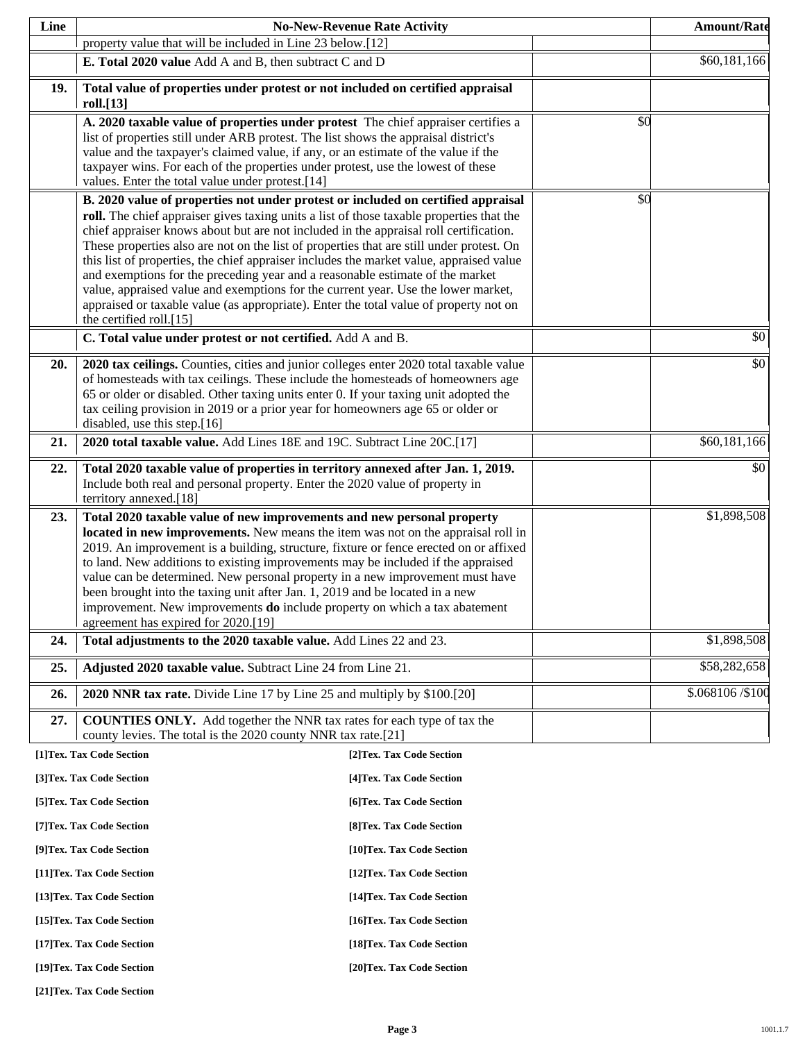| Line |                                                                                                                                                                          | <b>No-New-Revenue Rate Activity</b> |     | <b>Amount/Rate</b> |
|------|--------------------------------------------------------------------------------------------------------------------------------------------------------------------------|-------------------------------------|-----|--------------------|
|      | property value that will be included in Line 23 below.[12]                                                                                                               |                                     |     |                    |
|      | E. Total 2020 value Add A and B, then subtract C and D                                                                                                                   |                                     |     | \$60,181,166       |
| 19.  | Total value of properties under protest or not included on certified appraisal                                                                                           |                                     |     |                    |
|      | roll.[13]                                                                                                                                                                |                                     |     |                    |
|      | A. 2020 taxable value of properties under protest The chief appraiser certifies a<br>list of properties still under ARB protest. The list shows the appraisal district's |                                     | \$0 |                    |
|      | value and the taxpayer's claimed value, if any, or an estimate of the value if the                                                                                       |                                     |     |                    |
|      | taxpayer wins. For each of the properties under protest, use the lowest of these                                                                                         |                                     |     |                    |
|      | values. Enter the total value under protest.[14]                                                                                                                         |                                     |     |                    |
|      | B. 2020 value of properties not under protest or included on certified appraisal                                                                                         |                                     | \$0 |                    |
|      | roll. The chief appraiser gives taxing units a list of those taxable properties that the                                                                                 |                                     |     |                    |
|      | chief appraiser knows about but are not included in the appraisal roll certification.                                                                                    |                                     |     |                    |
|      | These properties also are not on the list of properties that are still under protest. On                                                                                 |                                     |     |                    |
|      | this list of properties, the chief appraiser includes the market value, appraised value<br>and exemptions for the preceding year and a reasonable estimate of the market |                                     |     |                    |
|      | value, appraised value and exemptions for the current year. Use the lower market,                                                                                        |                                     |     |                    |
|      | appraised or taxable value (as appropriate). Enter the total value of property not on                                                                                    |                                     |     |                    |
|      | the certified roll.[15]                                                                                                                                                  |                                     |     |                    |
|      | C. Total value under protest or not certified. Add A and B.                                                                                                              |                                     |     | \$0                |
| 20.  | 2020 tax ceilings. Counties, cities and junior colleges enter 2020 total taxable value                                                                                   |                                     |     | \$0                |
|      | of homesteads with tax ceilings. These include the homesteads of homeowners age                                                                                          |                                     |     |                    |
|      | 65 or older or disabled. Other taxing units enter 0. If your taxing unit adopted the                                                                                     |                                     |     |                    |
|      | tax ceiling provision in 2019 or a prior year for homeowners age 65 or older or<br>disabled, use this step.[16]                                                          |                                     |     |                    |
| 21.  | 2020 total taxable value. Add Lines 18E and 19C. Subtract Line 20C.[17]                                                                                                  |                                     |     | \$60,181,166       |
| 22.  | Total 2020 taxable value of properties in territory annexed after Jan. 1, 2019.                                                                                          |                                     |     | \$0                |
|      | Include both real and personal property. Enter the 2020 value of property in                                                                                             |                                     |     |                    |
|      | territory annexed.[18]                                                                                                                                                   |                                     |     |                    |
| 23.  | Total 2020 taxable value of new improvements and new personal property                                                                                                   |                                     |     | \$1,898,508        |
|      | located in new improvements. New means the item was not on the appraisal roll in                                                                                         |                                     |     |                    |
|      | 2019. An improvement is a building, structure, fixture or fence erected on or affixed                                                                                    |                                     |     |                    |
|      | to land. New additions to existing improvements may be included if the appraised<br>value can be determined. New personal property in a new improvement must have        |                                     |     |                    |
|      | been brought into the taxing unit after Jan. 1, 2019 and be located in a new                                                                                             |                                     |     |                    |
|      | improvement. New improvements <b>do</b> include property on which a tax abatement                                                                                        |                                     |     |                    |
|      | agreement has expired for 2020.[19]                                                                                                                                      |                                     |     |                    |
| 24.  | Total adjustments to the 2020 taxable value. Add Lines 22 and 23.                                                                                                        |                                     |     | \$1,898,508        |
| 25.  | Adjusted 2020 taxable value. Subtract Line 24 from Line 21.                                                                                                              |                                     |     | \$58,282,658       |
| 26.  | 2020 NNR tax rate. Divide Line 17 by Line 25 and multiply by \$100.[20]                                                                                                  |                                     |     | \$.068106 /\$100   |
| 27.  | <b>COUNTIES ONLY.</b> Add together the NNR tax rates for each type of tax the                                                                                            |                                     |     |                    |
|      | county levies. The total is the 2020 county NNR tax rate.[21]                                                                                                            |                                     |     |                    |
|      | [1]Tex. Tax Code Section                                                                                                                                                 | [2]Tex. Tax Code Section            |     |                    |
|      | [3]Tex. Tax Code Section                                                                                                                                                 | [4] Tex. Tax Code Section           |     |                    |
|      | [5] Tex. Tax Code Section                                                                                                                                                | [6]Tex. Tax Code Section            |     |                    |
|      | [7] Tex. Tax Code Section                                                                                                                                                | [8] Tex. Tax Code Section           |     |                    |
|      | [9]Tex. Tax Code Section                                                                                                                                                 | [10]Tex. Tax Code Section           |     |                    |
|      | [11] Tex. Tax Code Section                                                                                                                                               | [12] Tex. Tax Code Section          |     |                    |
|      | [13] Tex. Tax Code Section                                                                                                                                               | [14] Tex. Tax Code Section          |     |                    |
|      | [15] Tex. Tax Code Section                                                                                                                                               | [16] Tex. Tax Code Section          |     |                    |
|      | [17] Tex. Tax Code Section                                                                                                                                               | [18] Tex. Tax Code Section          |     |                    |
|      | [19]Tex. Tax Code Section                                                                                                                                                | [20]Tex. Tax Code Section           |     |                    |

**[21]Tex. Tax Code Section**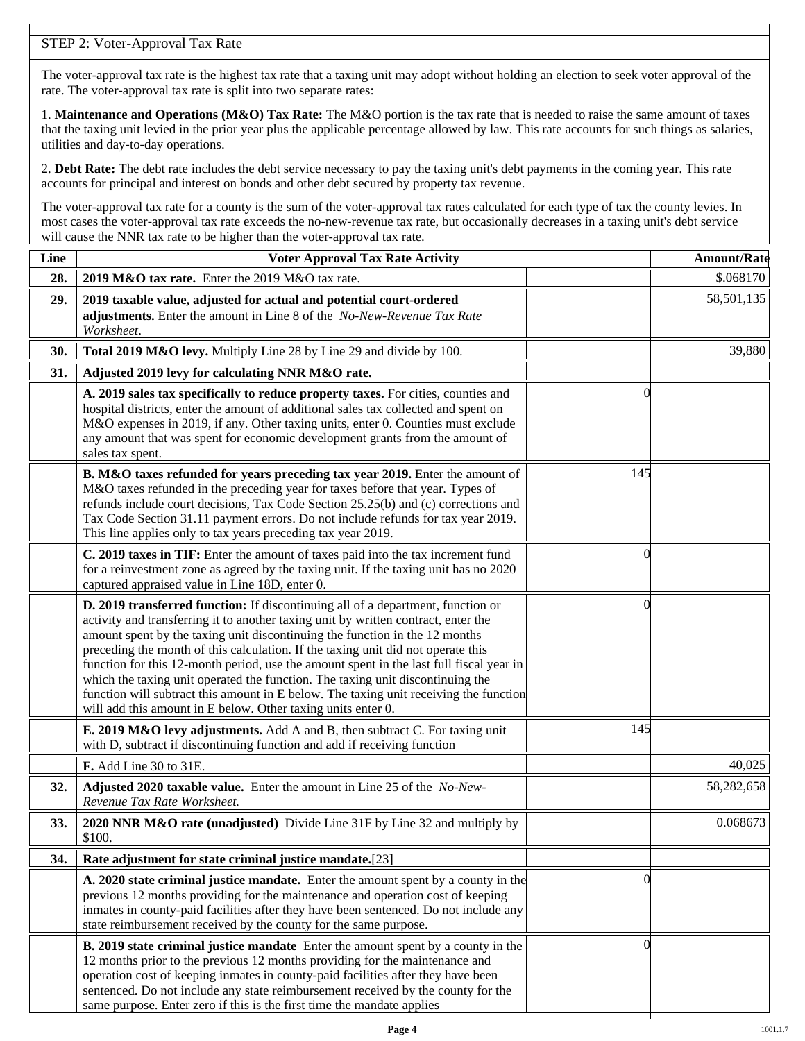# STEP 2: Voter-Approval Tax Rate

The voter-approval tax rate is the highest tax rate that a taxing unit may adopt without holding an election to seek voter approval of the rate. The voter-approval tax rate is split into two separate rates:

1. **Maintenance and Operations (M&O) Tax Rate:** The M&O portion is the tax rate that is needed to raise the same amount of taxes that the taxing unit levied in the prior year plus the applicable percentage allowed by law. This rate accounts for such things as salaries, utilities and day-to-day operations.

2. **Debt Rate:** The debt rate includes the debt service necessary to pay the taxing unit's debt payments in the coming year. This rate accounts for principal and interest on bonds and other debt secured by property tax revenue.

The voter-approval tax rate for a county is the sum of the voter-approval tax rates calculated for each type of tax the county levies. In most cases the voter-approval tax rate exceeds the no-new-revenue tax rate, but occasionally decreases in a taxing unit's debt service will cause the NNR tax rate to be higher than the voter-approval tax rate.

| Line | <b>Voter Approval Tax Rate Activity</b>                                                                                                                                                                                                                                                                                                                                                                                                                                                                                                                                                                                                                                        |                | <b>Amount/Rate</b> |
|------|--------------------------------------------------------------------------------------------------------------------------------------------------------------------------------------------------------------------------------------------------------------------------------------------------------------------------------------------------------------------------------------------------------------------------------------------------------------------------------------------------------------------------------------------------------------------------------------------------------------------------------------------------------------------------------|----------------|--------------------|
| 28.  | 2019 M&O tax rate. Enter the 2019 M&O tax rate.                                                                                                                                                                                                                                                                                                                                                                                                                                                                                                                                                                                                                                |                | \$.068170          |
| 29.  | 2019 taxable value, adjusted for actual and potential court-ordered<br>adjustments. Enter the amount in Line 8 of the No-New-Revenue Tax Rate<br>Worksheet.                                                                                                                                                                                                                                                                                                                                                                                                                                                                                                                    |                | 58,501,135         |
| 30.  | Total 2019 M&O levy. Multiply Line 28 by Line 29 and divide by 100.                                                                                                                                                                                                                                                                                                                                                                                                                                                                                                                                                                                                            |                | 39,880             |
| 31.  | Adjusted 2019 levy for calculating NNR M&O rate.                                                                                                                                                                                                                                                                                                                                                                                                                                                                                                                                                                                                                               |                |                    |
|      | A. 2019 sales tax specifically to reduce property taxes. For cities, counties and<br>hospital districts, enter the amount of additional sales tax collected and spent on<br>M&O expenses in 2019, if any. Other taxing units, enter 0. Counties must exclude<br>any amount that was spent for economic development grants from the amount of<br>sales tax spent.                                                                                                                                                                                                                                                                                                               | $\Omega$       |                    |
|      | B. M&O taxes refunded for years preceding tax year 2019. Enter the amount of<br>M&O taxes refunded in the preceding year for taxes before that year. Types of<br>refunds include court decisions, Tax Code Section 25.25(b) and (c) corrections and<br>Tax Code Section 31.11 payment errors. Do not include refunds for tax year 2019.<br>This line applies only to tax years preceding tax year 2019.                                                                                                                                                                                                                                                                        | 145            |                    |
|      | C. 2019 taxes in TIF: Enter the amount of taxes paid into the tax increment fund<br>for a reinvestment zone as agreed by the taxing unit. If the taxing unit has no 2020<br>captured appraised value in Line 18D, enter 0.                                                                                                                                                                                                                                                                                                                                                                                                                                                     | 0              |                    |
|      | D. 2019 transferred function: If discontinuing all of a department, function or<br>activity and transferring it to another taxing unit by written contract, enter the<br>amount spent by the taxing unit discontinuing the function in the 12 months<br>preceding the month of this calculation. If the taxing unit did not operate this<br>function for this 12-month period, use the amount spent in the last full fiscal year in<br>which the taxing unit operated the function. The taxing unit discontinuing the<br>function will subtract this amount in E below. The taxing unit receiving the function<br>will add this amount in E below. Other taxing units enter 0. | $\left($       |                    |
|      | E. 2019 M&O levy adjustments. Add A and B, then subtract C. For taxing unit<br>with D, subtract if discontinuing function and add if receiving function                                                                                                                                                                                                                                                                                                                                                                                                                                                                                                                        | 145            |                    |
|      | F. Add Line 30 to 31E.                                                                                                                                                                                                                                                                                                                                                                                                                                                                                                                                                                                                                                                         |                | 40,025             |
| 32.  | Adjusted 2020 taxable value. Enter the amount in Line 25 of the No-New-<br>Revenue Tax Rate Worksheet.                                                                                                                                                                                                                                                                                                                                                                                                                                                                                                                                                                         |                | 58,282,658         |
| 33.  | 2020 NNR M&O rate (unadjusted) Divide Line 31F by Line 32 and multiply by<br>\$100.                                                                                                                                                                                                                                                                                                                                                                                                                                                                                                                                                                                            |                | 0.068673           |
| 34.  | Rate adjustment for state criminal justice mandate.[23]                                                                                                                                                                                                                                                                                                                                                                                                                                                                                                                                                                                                                        |                |                    |
|      | A. 2020 state criminal justice mandate. Enter the amount spent by a county in the<br>previous 12 months providing for the maintenance and operation cost of keeping<br>inmates in county-paid facilities after they have been sentenced. Do not include any<br>state reimbursement received by the county for the same purpose.                                                                                                                                                                                                                                                                                                                                                | $\Omega$       |                    |
|      | <b>B. 2019 state criminal justice mandate</b> Enter the amount spent by a county in the<br>12 months prior to the previous 12 months providing for the maintenance and<br>operation cost of keeping inmates in county-paid facilities after they have been<br>sentenced. Do not include any state reimbursement received by the county for the<br>same purpose. Enter zero if this is the first time the mandate applies                                                                                                                                                                                                                                                       | $\overline{0}$ |                    |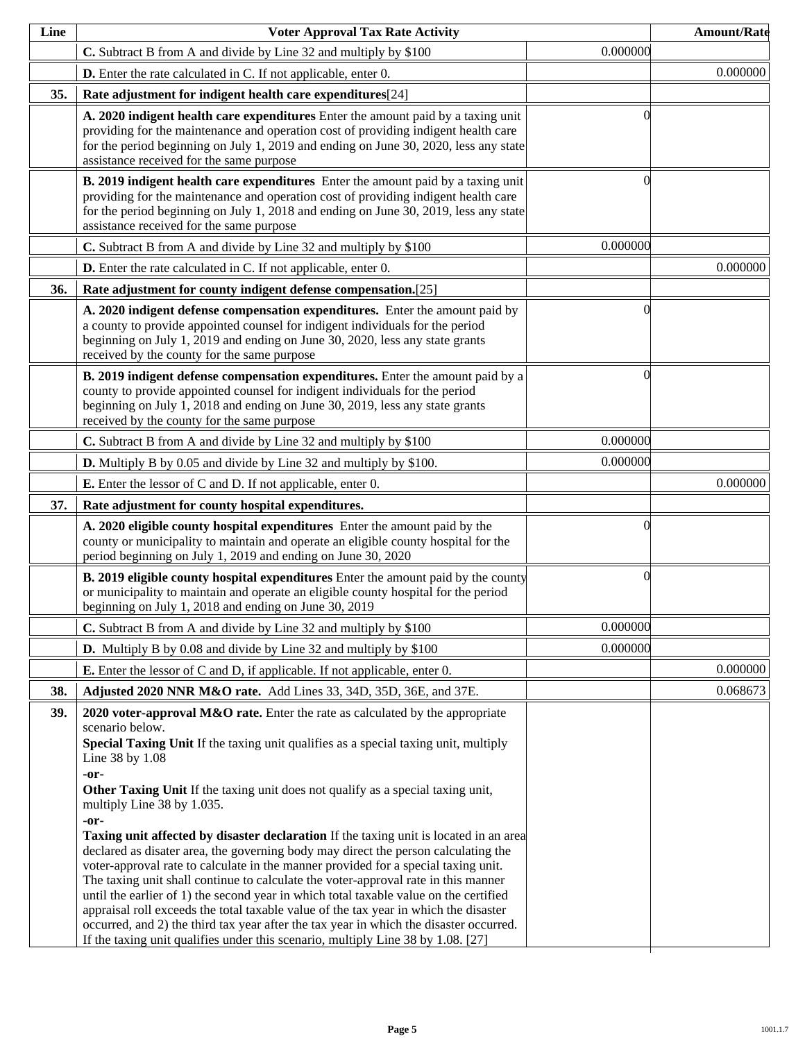| Line | <b>Voter Approval Tax Rate Activity</b>                                                                                                                                                                                                                                                                                                                                                                                                                                                                                                                                                                                                                                                                                                                                                                                                                                                                                                                                                                                                                                      |          | <b>Amount/Rate</b> |
|------|------------------------------------------------------------------------------------------------------------------------------------------------------------------------------------------------------------------------------------------------------------------------------------------------------------------------------------------------------------------------------------------------------------------------------------------------------------------------------------------------------------------------------------------------------------------------------------------------------------------------------------------------------------------------------------------------------------------------------------------------------------------------------------------------------------------------------------------------------------------------------------------------------------------------------------------------------------------------------------------------------------------------------------------------------------------------------|----------|--------------------|
|      | C. Subtract B from A and divide by Line 32 and multiply by \$100                                                                                                                                                                                                                                                                                                                                                                                                                                                                                                                                                                                                                                                                                                                                                                                                                                                                                                                                                                                                             | 0.000000 |                    |
|      | <b>D.</b> Enter the rate calculated in C. If not applicable, enter 0.                                                                                                                                                                                                                                                                                                                                                                                                                                                                                                                                                                                                                                                                                                                                                                                                                                                                                                                                                                                                        |          | 0.000000           |
| 35.  | Rate adjustment for indigent health care expenditures[24]                                                                                                                                                                                                                                                                                                                                                                                                                                                                                                                                                                                                                                                                                                                                                                                                                                                                                                                                                                                                                    |          |                    |
|      | A. 2020 indigent health care expenditures Enter the amount paid by a taxing unit<br>providing for the maintenance and operation cost of providing indigent health care<br>for the period beginning on July 1, 2019 and ending on June 30, 2020, less any state<br>assistance received for the same purpose                                                                                                                                                                                                                                                                                                                                                                                                                                                                                                                                                                                                                                                                                                                                                                   | $\Omega$ |                    |
|      | B. 2019 indigent health care expenditures Enter the amount paid by a taxing unit<br>providing for the maintenance and operation cost of providing indigent health care<br>for the period beginning on July 1, 2018 and ending on June 30, 2019, less any state<br>assistance received for the same purpose                                                                                                                                                                                                                                                                                                                                                                                                                                                                                                                                                                                                                                                                                                                                                                   | $\Omega$ |                    |
|      | C. Subtract B from A and divide by Line 32 and multiply by \$100                                                                                                                                                                                                                                                                                                                                                                                                                                                                                                                                                                                                                                                                                                                                                                                                                                                                                                                                                                                                             | 0.000000 |                    |
|      | <b>D.</b> Enter the rate calculated in C. If not applicable, enter 0.                                                                                                                                                                                                                                                                                                                                                                                                                                                                                                                                                                                                                                                                                                                                                                                                                                                                                                                                                                                                        |          | 0.000000           |
| 36.  | Rate adjustment for county indigent defense compensation.[25]                                                                                                                                                                                                                                                                                                                                                                                                                                                                                                                                                                                                                                                                                                                                                                                                                                                                                                                                                                                                                |          |                    |
|      | A. 2020 indigent defense compensation expenditures. Enter the amount paid by<br>a county to provide appointed counsel for indigent individuals for the period<br>beginning on July 1, 2019 and ending on June 30, 2020, less any state grants<br>received by the county for the same purpose                                                                                                                                                                                                                                                                                                                                                                                                                                                                                                                                                                                                                                                                                                                                                                                 | $\Omega$ |                    |
|      | B. 2019 indigent defense compensation expenditures. Enter the amount paid by a<br>county to provide appointed counsel for indigent individuals for the period<br>beginning on July 1, 2018 and ending on June 30, 2019, less any state grants<br>received by the county for the same purpose                                                                                                                                                                                                                                                                                                                                                                                                                                                                                                                                                                                                                                                                                                                                                                                 | $\Omega$ |                    |
|      | C. Subtract B from A and divide by Line 32 and multiply by \$100                                                                                                                                                                                                                                                                                                                                                                                                                                                                                                                                                                                                                                                                                                                                                                                                                                                                                                                                                                                                             | 0.000000 |                    |
|      | <b>D.</b> Multiply B by 0.05 and divide by Line 32 and multiply by \$100.                                                                                                                                                                                                                                                                                                                                                                                                                                                                                                                                                                                                                                                                                                                                                                                                                                                                                                                                                                                                    | 0.000000 |                    |
|      | <b>E.</b> Enter the lessor of C and D. If not applicable, enter 0.                                                                                                                                                                                                                                                                                                                                                                                                                                                                                                                                                                                                                                                                                                                                                                                                                                                                                                                                                                                                           |          | 0.000000           |
| 37.  | Rate adjustment for county hospital expenditures.                                                                                                                                                                                                                                                                                                                                                                                                                                                                                                                                                                                                                                                                                                                                                                                                                                                                                                                                                                                                                            |          |                    |
|      | A. 2020 eligible county hospital expenditures Enter the amount paid by the<br>county or municipality to maintain and operate an eligible county hospital for the<br>period beginning on July 1, 2019 and ending on June 30, 2020                                                                                                                                                                                                                                                                                                                                                                                                                                                                                                                                                                                                                                                                                                                                                                                                                                             | $\Omega$ |                    |
|      | <b>B. 2019 eligible county hospital expenditures</b> Enter the amount paid by the county<br>or municipality to maintain and operate an eligible county hospital for the period<br>beginning on July 1, 2018 and ending on June 30, 2019                                                                                                                                                                                                                                                                                                                                                                                                                                                                                                                                                                                                                                                                                                                                                                                                                                      | $\Omega$ |                    |
|      | C. Subtract B from A and divide by Line 32 and multiply by \$100                                                                                                                                                                                                                                                                                                                                                                                                                                                                                                                                                                                                                                                                                                                                                                                                                                                                                                                                                                                                             | 0.000000 |                    |
|      | <b>D.</b> Multiply B by 0.08 and divide by Line 32 and multiply by \$100                                                                                                                                                                                                                                                                                                                                                                                                                                                                                                                                                                                                                                                                                                                                                                                                                                                                                                                                                                                                     | 0.000000 |                    |
|      | <b>E.</b> Enter the lessor of C and D, if applicable. If not applicable, enter 0.                                                                                                                                                                                                                                                                                                                                                                                                                                                                                                                                                                                                                                                                                                                                                                                                                                                                                                                                                                                            |          | 0.000000           |
| 38.  | Adjusted 2020 NNR M&O rate. Add Lines 33, 34D, 35D, 36E, and 37E.                                                                                                                                                                                                                                                                                                                                                                                                                                                                                                                                                                                                                                                                                                                                                                                                                                                                                                                                                                                                            |          | 0.068673           |
| 39.  | 2020 voter-approval M&O rate. Enter the rate as calculated by the appropriate<br>scenario below.<br>Special Taxing Unit If the taxing unit qualifies as a special taxing unit, multiply<br>Line 38 by 1.08<br>-or-<br>Other Taxing Unit If the taxing unit does not qualify as a special taxing unit,<br>multiply Line 38 by 1.035.<br>-or-<br><b>Taxing unit affected by disaster declaration</b> If the taxing unit is located in an area<br>declared as disater area, the governing body may direct the person calculating the<br>voter-approval rate to calculate in the manner provided for a special taxing unit.<br>The taxing unit shall continue to calculate the voter-approval rate in this manner<br>until the earlier of 1) the second year in which total taxable value on the certified<br>appraisal roll exceeds the total taxable value of the tax year in which the disaster<br>occurred, and 2) the third tax year after the tax year in which the disaster occurred.<br>If the taxing unit qualifies under this scenario, multiply Line 38 by 1.08. [27] |          |                    |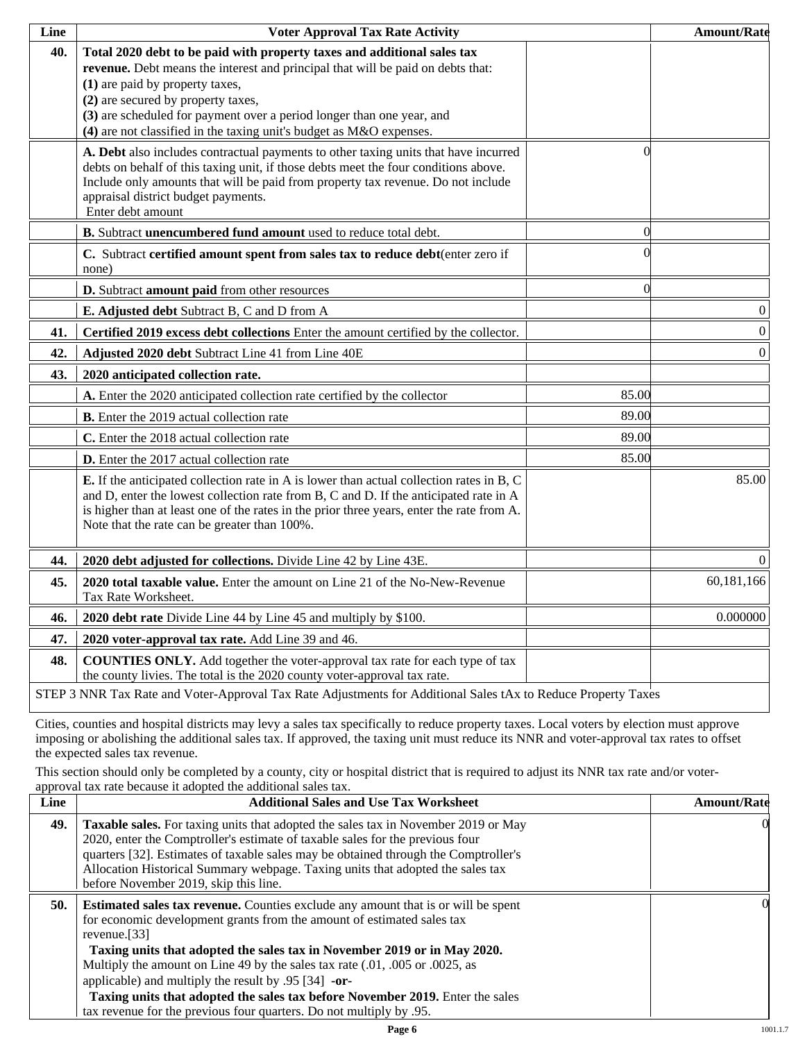| Line | <b>Voter Approval Tax Rate Activity</b>                                                                                                                                                                                                                                                                                                                                             |          | <b>Amount/Rate</b> |
|------|-------------------------------------------------------------------------------------------------------------------------------------------------------------------------------------------------------------------------------------------------------------------------------------------------------------------------------------------------------------------------------------|----------|--------------------|
| 40.  | Total 2020 debt to be paid with property taxes and additional sales tax<br>revenue. Debt means the interest and principal that will be paid on debts that:<br>(1) are paid by property taxes,<br>(2) are secured by property taxes,<br>(3) are scheduled for payment over a period longer than one year, and<br>(4) are not classified in the taxing unit's budget as M&O expenses. |          |                    |
|      | A. Debt also includes contractual payments to other taxing units that have incurred<br>debts on behalf of this taxing unit, if those debts meet the four conditions above.<br>Include only amounts that will be paid from property tax revenue. Do not include<br>appraisal district budget payments.<br>Enter debt amount                                                          | 0        |                    |
|      | B. Subtract unencumbered fund amount used to reduce total debt.                                                                                                                                                                                                                                                                                                                     | $\Omega$ |                    |
|      | C. Subtract certified amount spent from sales tax to reduce debt(enter zero if<br>none)                                                                                                                                                                                                                                                                                             |          |                    |
|      | D. Subtract amount paid from other resources                                                                                                                                                                                                                                                                                                                                        | $\Omega$ |                    |
|      | E. Adjusted debt Subtract B, C and D from A                                                                                                                                                                                                                                                                                                                                         |          | $\boldsymbol{0}$   |
| 41.  | Certified 2019 excess debt collections Enter the amount certified by the collector.                                                                                                                                                                                                                                                                                                 |          | $\boldsymbol{0}$   |
| 42.  | Adjusted 2020 debt Subtract Line 41 from Line 40E                                                                                                                                                                                                                                                                                                                                   |          | $\boldsymbol{0}$   |
| 43.  | 2020 anticipated collection rate.                                                                                                                                                                                                                                                                                                                                                   |          |                    |
|      | A. Enter the 2020 anticipated collection rate certified by the collector                                                                                                                                                                                                                                                                                                            | 85.00    |                    |
|      | <b>B.</b> Enter the 2019 actual collection rate                                                                                                                                                                                                                                                                                                                                     | 89.00    |                    |
|      | C. Enter the 2018 actual collection rate                                                                                                                                                                                                                                                                                                                                            | 89.00    |                    |
|      | D. Enter the 2017 actual collection rate                                                                                                                                                                                                                                                                                                                                            | 85.00    |                    |
|      | <b>E.</b> If the anticipated collection rate in A is lower than actual collection rates in B, C<br>and D, enter the lowest collection rate from B, C and D. If the anticipated rate in A<br>is higher than at least one of the rates in the prior three years, enter the rate from A.<br>Note that the rate can be greater than 100%.                                               |          | 85.00              |
| 44.  | 2020 debt adjusted for collections. Divide Line 42 by Line 43E.                                                                                                                                                                                                                                                                                                                     |          | $\mathbf{0}$       |
| 45.  | 2020 total taxable value. Enter the amount on Line 21 of the No-New-Revenue<br>Tax Rate Worksheet.                                                                                                                                                                                                                                                                                  |          | 60,181,166         |
| 46.  | 2020 debt rate Divide Line 44 by Line 45 and multiply by \$100.                                                                                                                                                                                                                                                                                                                     |          | 0.000000           |
| 47.  | 2020 voter-approval tax rate. Add Line 39 and 46.                                                                                                                                                                                                                                                                                                                                   |          |                    |
| 48.  | <b>COUNTIES ONLY.</b> Add together the voter-approval tax rate for each type of tax<br>the county livies. The total is the 2020 county voter-approval tax rate.                                                                                                                                                                                                                     |          |                    |
|      | STEP 3 NNR Tax Rate and Voter-Approval Tax Rate Adjustments for Additional Sales tAx to Reduce Property Taxes                                                                                                                                                                                                                                                                       |          |                    |

Cities, counties and hospital districts may levy a sales tax specifically to reduce property taxes. Local voters by election must approve imposing or abolishing the additional sales tax. If approved, the taxing unit must reduce its NNR and voter-approval tax rates to offset the expected sales tax revenue.

This section should only be completed by a county, city or hospital district that is required to adjust its NNR tax rate and/or voterapproval tax rate because it adopted the additional sales tax.

| <b>Additional Sales and Use Tax Worksheet</b>                                                                                                                                                                                                                                                                                                                                                                                                                                                | <b>Amount/Rate</b>                                                  |
|----------------------------------------------------------------------------------------------------------------------------------------------------------------------------------------------------------------------------------------------------------------------------------------------------------------------------------------------------------------------------------------------------------------------------------------------------------------------------------------------|---------------------------------------------------------------------|
| Taxable sales. For taxing units that adopted the sales tax in November 2019 or May<br>2020, enter the Comptroller's estimate of taxable sales for the previous four<br>quarters [32]. Estimates of taxable sales may be obtained through the Comptroller's<br>Allocation Historical Summary webpage. Taxing units that adopted the sales tax<br>before November 2019, skip this line.                                                                                                        | $\Omega$                                                            |
| <b>Estimated sales tax revenue.</b> Counties exclude any amount that is or will be spent<br>for economic development grants from the amount of estimated sales tax<br>revenue. $[33]$<br>Taxing units that adopted the sales tax in November 2019 or in May 2020.<br>Multiply the amount on Line 49 by the sales tax rate (.01, .005 or .0025, as<br>applicable) and multiply the result by $.95$ [34] -or-<br>Taxing units that adopted the sales tax before November 2019. Enter the sales | OI.                                                                 |
|                                                                                                                                                                                                                                                                                                                                                                                                                                                                                              | tax revenue for the previous four quarters. Do not multiply by .95. |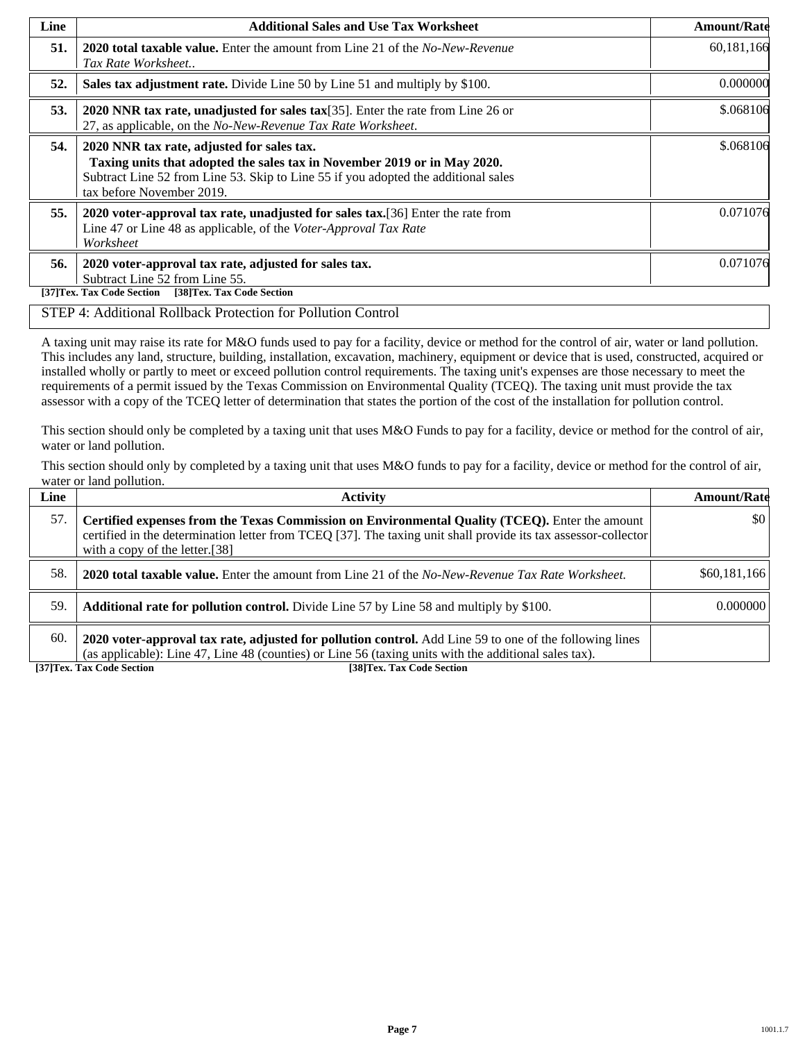| Line | <b>Additional Sales and Use Tax Worksheet</b>                                                                                                                                                                                             | <b>Amount/Rate</b> |
|------|-------------------------------------------------------------------------------------------------------------------------------------------------------------------------------------------------------------------------------------------|--------------------|
| 51.  | <b>2020 total taxable value.</b> Enter the amount from Line 21 of the <i>No-New-Revenue</i><br>Tax Rate Worksheet                                                                                                                         | 60,181,166         |
| 52.  | Sales tax adjustment rate. Divide Line 50 by Line 51 and multiply by \$100.                                                                                                                                                               | 0.000000           |
| 53.  | 2020 NNR tax rate, unadjusted for sales tax[35]. Enter the rate from Line 26 or<br>27, as applicable, on the No-New-Revenue Tax Rate Worksheet.                                                                                           | \$.068106          |
| 54.  | 2020 NNR tax rate, adjusted for sales tax.<br>Taxing units that adopted the sales tax in November 2019 or in May 2020.<br>Subtract Line 52 from Line 53. Skip to Line 55 if you adopted the additional sales<br>tax before November 2019. | \$.068106          |
| 55.  | 2020 voter-approval tax rate, unadjusted for sales tax. [36] Enter the rate from<br>Line 47 or Line 48 as applicable, of the Voter-Approval Tax Rate<br>Worksheet                                                                         | 0.071076           |
| 56.  | 2020 voter-approval tax rate, adjusted for sales tax.<br>Subtract Line 52 from Line 55.<br>[38]Tex. Tax Code Section<br>[37]Tex. Tax Code Section                                                                                         | 0.071076           |

## STEP 4: Additional Rollback Protection for Pollution Control

A taxing unit may raise its rate for M&O funds used to pay for a facility, device or method for the control of air, water or land pollution. This includes any land, structure, building, installation, excavation, machinery, equipment or device that is used, constructed, acquired or installed wholly or partly to meet or exceed pollution control requirements. The taxing unit's expenses are those necessary to meet the requirements of a permit issued by the Texas Commission on Environmental Quality (TCEQ). The taxing unit must provide the tax assessor with a copy of the TCEQ letter of determination that states the portion of the cost of the installation for pollution control.

This section should only be completed by a taxing unit that uses M&O Funds to pay for a facility, device or method for the control of air, water or land pollution.

This section should only by completed by a taxing unit that uses M&O funds to pay for a facility, device or method for the control of air, water or land pollution.

| Line | <b>Activity</b>                                                                                                                                                                                                                                    | <b>Amount/Rate</b>      |
|------|----------------------------------------------------------------------------------------------------------------------------------------------------------------------------------------------------------------------------------------------------|-------------------------|
| 57.  | Certified expenses from the Texas Commission on Environmental Quality (TCEQ). Enter the amount<br>certified in the determination letter from TCEQ [37]. The taxing unit shall provide its tax assessor-collector<br>with a copy of the letter.[38] | $\vert \$\text{0}\vert$ |
| 58.  | <b>2020 total taxable value.</b> Enter the amount from Line 21 of the No-New-Revenue Tax Rate Worksheet.                                                                                                                                           | \$60,181,166            |
| 59.  | <b>Additional rate for pollution control.</b> Divide Line 57 by Line 58 and multiply by \$100.                                                                                                                                                     | 0.000000                |
| 60.  | 2020 voter-approval tax rate, adjusted for pollution control. Add Line 59 to one of the following lines<br>(as applicable): Line 47, Line 48 (counties) or Line 56 (taxing units with the additional sales tax).                                   |                         |

**[37]Tex. Tax Code Section [38]Tex. Tax Code Section**